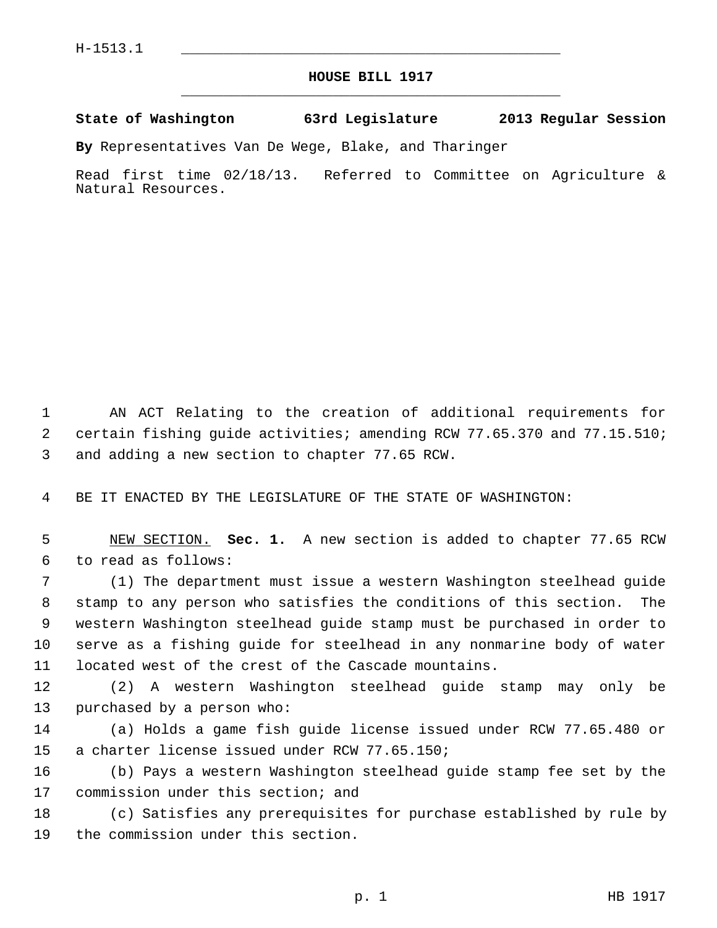## **HOUSE BILL 1917** \_\_\_\_\_\_\_\_\_\_\_\_\_\_\_\_\_\_\_\_\_\_\_\_\_\_\_\_\_\_\_\_\_\_\_\_\_\_\_\_\_\_\_\_\_

**State of Washington 63rd Legislature 2013 Regular Session**

**By** Representatives Van De Wege, Blake, and Tharinger

Read first time 02/18/13. Referred to Committee on Agriculture & Natural Resources.

 1 AN ACT Relating to the creation of additional requirements for 2 certain fishing guide activities; amending RCW 77.65.370 and 77.15.510; 3 and adding a new section to chapter 77.65 RCW.

4 BE IT ENACTED BY THE LEGISLATURE OF THE STATE OF WASHINGTON:

 5 NEW SECTION. **Sec. 1.** A new section is added to chapter 77.65 RCW 6 to read as follows:

 7 (1) The department must issue a western Washington steelhead guide 8 stamp to any person who satisfies the conditions of this section. The 9 western Washington steelhead guide stamp must be purchased in order to 10 serve as a fishing guide for steelhead in any nonmarine body of water 11 located west of the crest of the Cascade mountains.

12 (2) A western Washington steelhead guide stamp may only be 13 purchased by a person who:

14 (a) Holds a game fish guide license issued under RCW 77.65.480 or 15 a charter license issued under RCW 77.65.150;

16 (b) Pays a western Washington steelhead guide stamp fee set by the 17 commission under this section; and

18 (c) Satisfies any prerequisites for purchase established by rule by 19 the commission under this section.

p. 1 HB 1917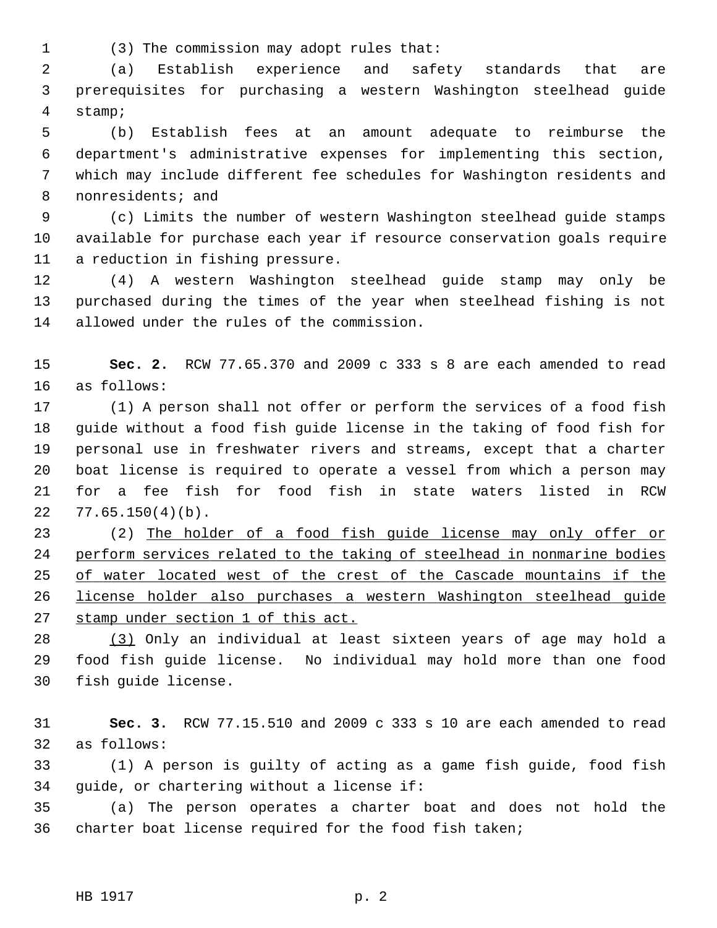1 (3) The commission may adopt rules that:

 2 (a) Establish experience and safety standards that are 3 prerequisites for purchasing a western Washington steelhead guide 4 stamp;

 5 (b) Establish fees at an amount adequate to reimburse the 6 department's administrative expenses for implementing this section, 7 which may include different fee schedules for Washington residents and 8 nonresidents; and

 9 (c) Limits the number of western Washington steelhead guide stamps 10 available for purchase each year if resource conservation goals require 11 a reduction in fishing pressure.

12 (4) A western Washington steelhead guide stamp may only be 13 purchased during the times of the year when steelhead fishing is not 14 allowed under the rules of the commission.

15 **Sec. 2.** RCW 77.65.370 and 2009 c 333 s 8 are each amended to read 16 as follows:

17 (1) A person shall not offer or perform the services of a food fish 18 guide without a food fish guide license in the taking of food fish for 19 personal use in freshwater rivers and streams, except that a charter 20 boat license is required to operate a vessel from which a person may 21 for a fee fish for food fish in state waters listed in RCW 22 77.65.150(4)(b).

23 (2) The holder of a food fish guide license may only offer or perform services related to the taking of steelhead in nonmarine bodies of water located west of the crest of the Cascade mountains if the license holder also purchases a western Washington steelhead guide stamp under section 1 of this act.

28 (3) Only an individual at least sixteen years of age may hold a 29 food fish guide license. No individual may hold more than one food 30 fish guide license.

31 **Sec. 3.** RCW 77.15.510 and 2009 c 333 s 10 are each amended to read 32 as follows:

33 (1) A person is guilty of acting as a game fish guide, food fish 34 guide, or chartering without a license if:

35 (a) The person operates a charter boat and does not hold the 36 charter boat license required for the food fish taken;